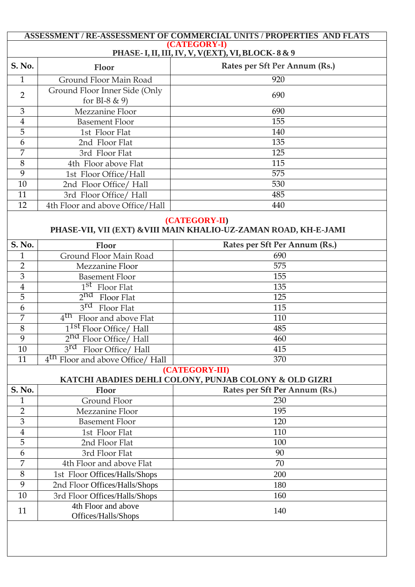## **ASSESSMENT / RE-ASSESSMENT OF COMMERCIAL UNITS / PROPERTIES AND FLATS (CATEGORY-I)**

# **PHASE-I,II,III,IV, V, V(EXT), VI, BLOCK- 8 & 9**

| S. No.        | <b>Floor</b>                    | Rates per Sft Per Annum (Rs.) |  |
|---------------|---------------------------------|-------------------------------|--|
|               | Ground Floor Main Road          | 920                           |  |
| $\mathcal{P}$ | Ground Floor Inner Side (Only   | 690                           |  |
|               | for BI-8 $\&$ 9)                |                               |  |
| 3             | Mezzanine Floor                 | 690                           |  |
| 4             | <b>Basement Floor</b>           | 155                           |  |
| 5             | 1st Floor Flat                  | 140                           |  |
| 6             | 2nd Floor Flat                  | 135                           |  |
| 7             | 3rd Floor Flat                  | 125                           |  |
| 8             | 4th Floor above Flat            | 115                           |  |
| 9             | 1st Floor Office/Hall           | 575                           |  |
| 10            | 2nd Floor Office/ Hall          | 530                           |  |
| 11            | 3rd Floor Office/ Hall          | 485                           |  |
| 12            | 4th Floor and above Office/Hall | 440                           |  |

#### **(CATEGORY-II)**

### **PHASE-VII, VII (EXT) &VIII MAIN KHALIO-UZ-ZAMAN ROAD, KH-E-JAMI**

| <b>S. No.</b>                                          | Floor                                        | Rates per Sft Per Annum (Rs.) |  |  |  |
|--------------------------------------------------------|----------------------------------------------|-------------------------------|--|--|--|
| $\mathbf{1}$                                           | Ground Floor Main Road                       | 690                           |  |  |  |
| $\overline{2}$                                         | Mezzanine Floor                              | 575                           |  |  |  |
| 3                                                      | <b>Basement Floor</b>                        | 155                           |  |  |  |
| $\overline{4}$                                         | 1 <sup>st</sup> Floor Flat                   | 135                           |  |  |  |
| 5                                                      | $2nd$ Floor Flat                             | 125                           |  |  |  |
| 6                                                      | $3rd$ Floor Flat                             | 115                           |  |  |  |
| 7                                                      | 4 <sup>th</sup><br>Floor and above Flat      | 110                           |  |  |  |
| $\overline{8}$                                         | 1 <sup>1st</sup> Floor Office/ Hall          | 485                           |  |  |  |
| 9                                                      | $2nd$ Floor Office/ Hall                     | 460                           |  |  |  |
| 10                                                     | 3rd<br>Floor Office/ Hall                    | 415                           |  |  |  |
| 11                                                     | 4 <sup>th</sup> Floor and above Office/ Hall | 370                           |  |  |  |
| (CATEGORY-III)                                         |                                              |                               |  |  |  |
| KATCHI ABADIES DEHLI COLONY, PUNJAB COLONY & OLD GIZRI |                                              |                               |  |  |  |
| <b>S. No.</b>                                          | Floor                                        | Rates per Sft Per Annum (Rs.) |  |  |  |
| $\mathbf{1}$                                           | <b>Ground Floor</b>                          | 230                           |  |  |  |
| $\overline{2}$                                         | Mezzanine Floor                              | 195                           |  |  |  |
| $\overline{3}$                                         | <b>Basement Floor</b>                        | 120                           |  |  |  |
| $\overline{4}$                                         | 1st Floor Flat                               | 110                           |  |  |  |
| $\overline{5}$                                         | 2nd Floor Flat                               | 100                           |  |  |  |
| 6                                                      | 3rd Floor Flat                               | 90                            |  |  |  |
| 7                                                      | 4th Floor and above Flat                     | 70                            |  |  |  |
| 8                                                      | 1st Floor Offices/Halls/Shops                | 200                           |  |  |  |
| 9                                                      | 2nd Floor Offices/Halls/Shops                | 180                           |  |  |  |
| 10                                                     | 3rd Floor Offices/Halls/Shops                | 160                           |  |  |  |
| 11                                                     | 4th Floor and above<br>Offices/Halls/Shops   | 140                           |  |  |  |
|                                                        |                                              |                               |  |  |  |